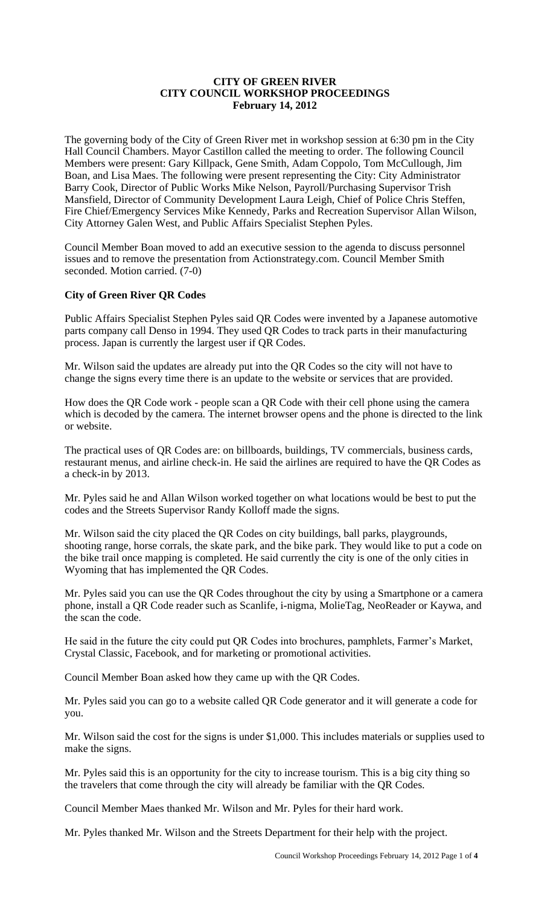## **CITY OF GREEN RIVER CITY COUNCIL WORKSHOP PROCEEDINGS February 14, 2012**

The governing body of the City of Green River met in workshop session at 6:30 pm in the City Hall Council Chambers. Mayor Castillon called the meeting to order. The following Council Members were present: Gary Killpack, Gene Smith, Adam Coppolo, Tom McCullough, Jim Boan, and Lisa Maes. The following were present representing the City: City Administrator Barry Cook, Director of Public Works Mike Nelson, Payroll/Purchasing Supervisor Trish Mansfield, Director of Community Development Laura Leigh, Chief of Police Chris Steffen, Fire Chief/Emergency Services Mike Kennedy, Parks and Recreation Supervisor Allan Wilson, City Attorney Galen West, and Public Affairs Specialist Stephen Pyles.

Council Member Boan moved to add an executive session to the agenda to discuss personnel issues and to remove the presentation from Actionstrategy.com. Council Member Smith seconded. Motion carried. (7-0)

## **City of Green River QR Codes**

Public Affairs Specialist Stephen Pyles said QR Codes were invented by a Japanese automotive parts company call Denso in 1994. They used QR Codes to track parts in their manufacturing process. Japan is currently the largest user if QR Codes.

Mr. Wilson said the updates are already put into the QR Codes so the city will not have to change the signs every time there is an update to the website or services that are provided.

How does the QR Code work - people scan a QR Code with their cell phone using the camera which is decoded by the camera. The internet browser opens and the phone is directed to the link or website.

The practical uses of QR Codes are: on billboards, buildings, TV commercials, business cards, restaurant menus, and airline check-in. He said the airlines are required to have the QR Codes as a check-in by 2013.

Mr. Pyles said he and Allan Wilson worked together on what locations would be best to put the codes and the Streets Supervisor Randy Kolloff made the signs.

Mr. Wilson said the city placed the QR Codes on city buildings, ball parks, playgrounds, shooting range, horse corrals, the skate park, and the bike park. They would like to put a code on the bike trail once mapping is completed. He said currently the city is one of the only cities in Wyoming that has implemented the QR Codes.

Mr. Pyles said you can use the QR Codes throughout the city by using a Smartphone or a camera phone, install a QR Code reader such as Scanlife, i-nigma, MolieTag, NeoReader or Kaywa, and the scan the code.

He said in the future the city could put QR Codes into brochures, pamphlets, Farmer's Market, Crystal Classic, Facebook, and for marketing or promotional activities.

Council Member Boan asked how they came up with the QR Codes.

Mr. Pyles said you can go to a website called QR Code generator and it will generate a code for you.

Mr. Wilson said the cost for the signs is under \$1,000. This includes materials or supplies used to make the signs.

Mr. Pyles said this is an opportunity for the city to increase tourism. This is a big city thing so the travelers that come through the city will already be familiar with the QR Codes.

Council Member Maes thanked Mr. Wilson and Mr. Pyles for their hard work.

Mr. Pyles thanked Mr. Wilson and the Streets Department for their help with the project.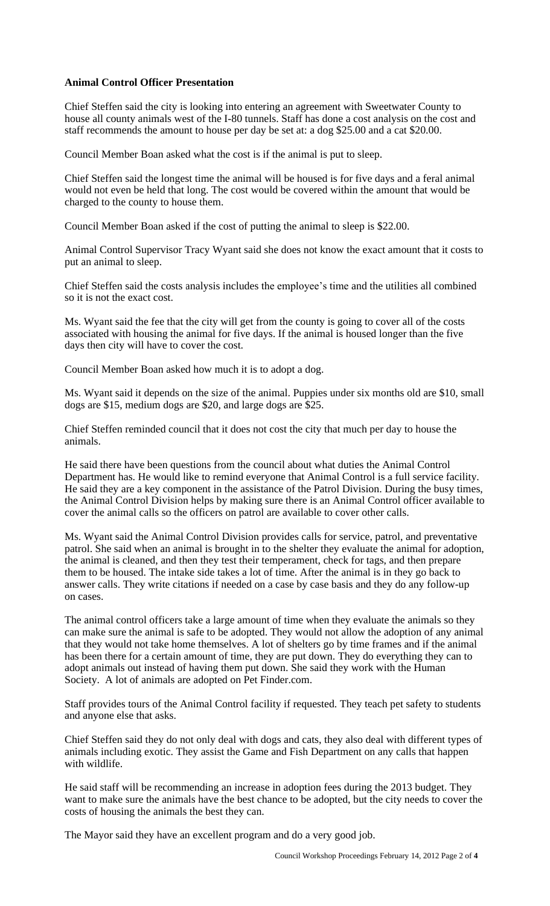#### **Animal Control Officer Presentation**

Chief Steffen said the city is looking into entering an agreement with Sweetwater County to house all county animals west of the I-80 tunnels. Staff has done a cost analysis on the cost and staff recommends the amount to house per day be set at: a dog \$25.00 and a cat \$20.00.

Council Member Boan asked what the cost is if the animal is put to sleep.

Chief Steffen said the longest time the animal will be housed is for five days and a feral animal would not even be held that long. The cost would be covered within the amount that would be charged to the county to house them.

Council Member Boan asked if the cost of putting the animal to sleep is \$22.00.

Animal Control Supervisor Tracy Wyant said she does not know the exact amount that it costs to put an animal to sleep.

Chief Steffen said the costs analysis includes the employee's time and the utilities all combined so it is not the exact cost.

Ms. Wyant said the fee that the city will get from the county is going to cover all of the costs associated with housing the animal for five days. If the animal is housed longer than the five days then city will have to cover the cost.

Council Member Boan asked how much it is to adopt a dog.

Ms. Wyant said it depends on the size of the animal. Puppies under six months old are \$10, small dogs are \$15, medium dogs are \$20, and large dogs are \$25.

Chief Steffen reminded council that it does not cost the city that much per day to house the animals.

He said there have been questions from the council about what duties the Animal Control Department has. He would like to remind everyone that Animal Control is a full service facility. He said they are a key component in the assistance of the Patrol Division. During the busy times, the Animal Control Division helps by making sure there is an Animal Control officer available to cover the animal calls so the officers on patrol are available to cover other calls.

Ms. Wyant said the Animal Control Division provides calls for service, patrol, and preventative patrol. She said when an animal is brought in to the shelter they evaluate the animal for adoption, the animal is cleaned, and then they test their temperament, check for tags, and then prepare them to be housed. The intake side takes a lot of time. After the animal is in they go back to answer calls. They write citations if needed on a case by case basis and they do any follow-up on cases.

The animal control officers take a large amount of time when they evaluate the animals so they can make sure the animal is safe to be adopted. They would not allow the adoption of any animal that they would not take home themselves. A lot of shelters go by time frames and if the animal has been there for a certain amount of time, they are put down. They do everything they can to adopt animals out instead of having them put down. She said they work with the Human Society. A lot of animals are adopted on Pet Finder.com.

Staff provides tours of the Animal Control facility if requested. They teach pet safety to students and anyone else that asks.

Chief Steffen said they do not only deal with dogs and cats, they also deal with different types of animals including exotic. They assist the Game and Fish Department on any calls that happen with wildlife.

He said staff will be recommending an increase in adoption fees during the 2013 budget. They want to make sure the animals have the best chance to be adopted, but the city needs to cover the costs of housing the animals the best they can.

The Mayor said they have an excellent program and do a very good job.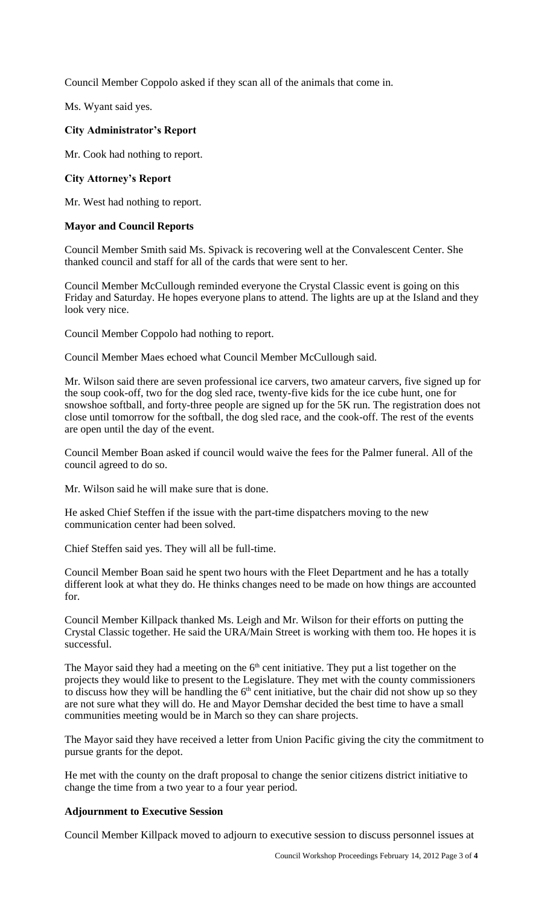Council Member Coppolo asked if they scan all of the animals that come in.

Ms. Wyant said yes.

# **City Administrator's Report**

Mr. Cook had nothing to report.

## **City Attorney's Report**

Mr. West had nothing to report.

## **Mayor and Council Reports**

Council Member Smith said Ms. Spivack is recovering well at the Convalescent Center. She thanked council and staff for all of the cards that were sent to her.

Council Member McCullough reminded everyone the Crystal Classic event is going on this Friday and Saturday. He hopes everyone plans to attend. The lights are up at the Island and they look very nice.

Council Member Coppolo had nothing to report.

Council Member Maes echoed what Council Member McCullough said.

Mr. Wilson said there are seven professional ice carvers, two amateur carvers, five signed up for the soup cook-off, two for the dog sled race, twenty-five kids for the ice cube hunt, one for snowshoe softball, and forty-three people are signed up for the 5K run. The registration does not close until tomorrow for the softball, the dog sled race, and the cook-off. The rest of the events are open until the day of the event.

Council Member Boan asked if council would waive the fees for the Palmer funeral. All of the council agreed to do so.

Mr. Wilson said he will make sure that is done.

He asked Chief Steffen if the issue with the part-time dispatchers moving to the new communication center had been solved.

Chief Steffen said yes. They will all be full-time.

Council Member Boan said he spent two hours with the Fleet Department and he has a totally different look at what they do. He thinks changes need to be made on how things are accounted for.

Council Member Killpack thanked Ms. Leigh and Mr. Wilson for their efforts on putting the Crystal Classic together. He said the URA/Main Street is working with them too. He hopes it is successful.

The Mayor said they had a meeting on the  $6<sup>th</sup>$  cent initiative. They put a list together on the projects they would like to present to the Legislature. They met with the county commissioners to discuss how they will be handling the  $6<sup>th</sup>$  cent initiative, but the chair did not show up so they are not sure what they will do. He and Mayor Demshar decided the best time to have a small communities meeting would be in March so they can share projects.

The Mayor said they have received a letter from Union Pacific giving the city the commitment to pursue grants for the depot.

He met with the county on the draft proposal to change the senior citizens district initiative to change the time from a two year to a four year period.

## **Adjournment to Executive Session**

Council Member Killpack moved to adjourn to executive session to discuss personnel issues at